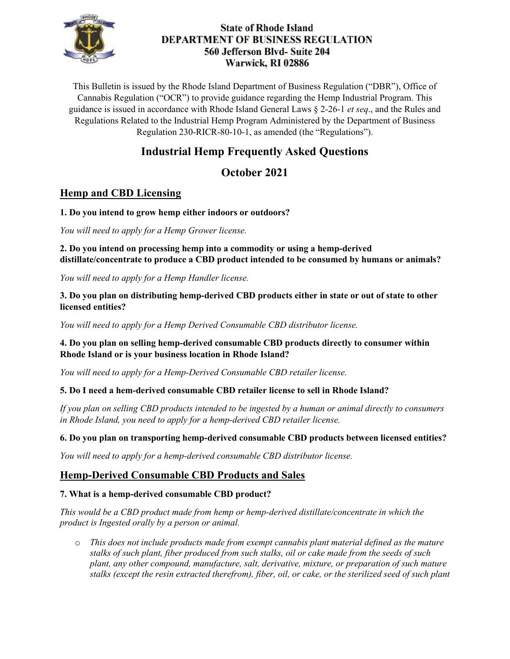

## **State of Rhode Island DEPARTMENT OF BUSINESS REGULATION** 560 Jefferson Blvd- Suite 204 Warwick, RI 02886

This Bulletin is issued by the Rhode Island Department of Business Regulation ("DBR"), Office of Cannabis Regulation ("OCR") to provide guidance regarding the Hemp Industrial Program. This guidance is issued in accordance with Rhode Island General Laws § 2-26-1 *et seq*., and the Rules and Regulations Related to the Industrial Hemp Program Administered by the Department of Business Regulation 230-RICR-80-10-1, as amended (the "Regulations").

# **Industrial Hemp Frequently Asked Questions**

## **October 2021**

## **Hemp and CBD Licensing**

#### **1. Do you intend to grow hemp either indoors or outdoors?**

*You will need to apply for a Hemp Grower license.*

**2. Do you intend on processing hemp into a commodity or using a hemp-derived distillate/concentrate to produce a CBD product intended to be consumed by humans or animals?**

*You will need to apply for a Hemp Handler license.* 

### **3. Do you plan on distributing hemp-derived CBD products either in state or out of state to other licensed entities?**

*You will need to apply for a Hemp Derived Consumable CBD distributor license.* 

## **4. Do you plan on selling hemp-derived consumable CBD products directly to consumer within Rhode Island or is your business location in Rhode Island?**

*You will need to apply for a Hemp-Derived Consumable CBD retailer license.*

## **5. Do I need a hem-derived consumable CBD retailer license to sell in Rhode Island?**

*If you plan on selling CBD products intended to be ingested by a human or animal directly to consumers in Rhode Island, you need to apply for a hemp-derived CBD retailer license.* 

## **6. Do you plan on transporting hemp-derived consumable CBD products between licensed entities?**

*You will need to apply for a hemp-derived consumable CBD distributor license.* 

## **Hemp-Derived Consumable CBD Products and Sales**

## **7. What is a hemp-derived consumable CBD product?**

*This would be a CBD product made from hemp or hemp-derived distillate/concentrate in which the product is Ingested orally by a person or animal.* 

o *This does not include products made from exempt cannabis plant material defined as the mature stalks of such plant, fiber produced from such stalks, oil or cake made from the seeds of such plant, any other compound, manufacture, salt, derivative, mixture, or preparation of such mature stalks (except the resin extracted therefrom), fiber, oil, or cake, or the sterilized seed of such plant*